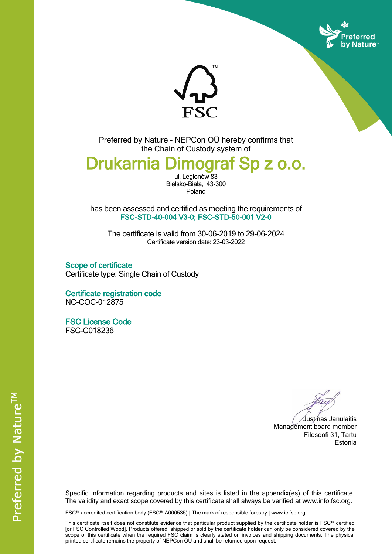



Preferred by Nature - NEPCon OÜ hereby confirms that the Chain of Custody system of

## **Drukarnia Dimograf Sp z o.o.**

ul.Legionów 83 Bielsko-Biała, 43-300 Poland

has been assessed and certified as meeting the requirements of **FSC-STD-40-004 V3-0; FSC-STD-50-001 V2-0**

The certificate is valid from 30-06-2019 to 29-06-2024 Certificate version date: 23-03-2022

**Scope of certificate** Certificate type: Single Chain of Custody

**Certificate registration code** NC-COC-012875

**FSC License Code** FSC-C018236

Justinas Janulaitis Management board member Filosoofi 31, Tartu Estonia

Specific information regarding products and sites is listed in the appendix(es) of this certificate. The validity and exact scope covered by this certificate shall always be verified at www.info.fsc.org.

FSC™ accredited certification body (FSC™ A000535) | The mark of responsible forestry | www.ic.fsc.org

This certificate itself does not constitute evidence that particular product supplied by the certificate holder is FSC™ certified [or FSC Controlled Wood]. Products offered, shipped or sold by the certificate holder can only be considered covered by the scope of this certificate when the required FSC claim is clearly stated on invoices and shipping documents. The physical printed certificate remains the property of NEPCon OÜ and shall be returned upon request.